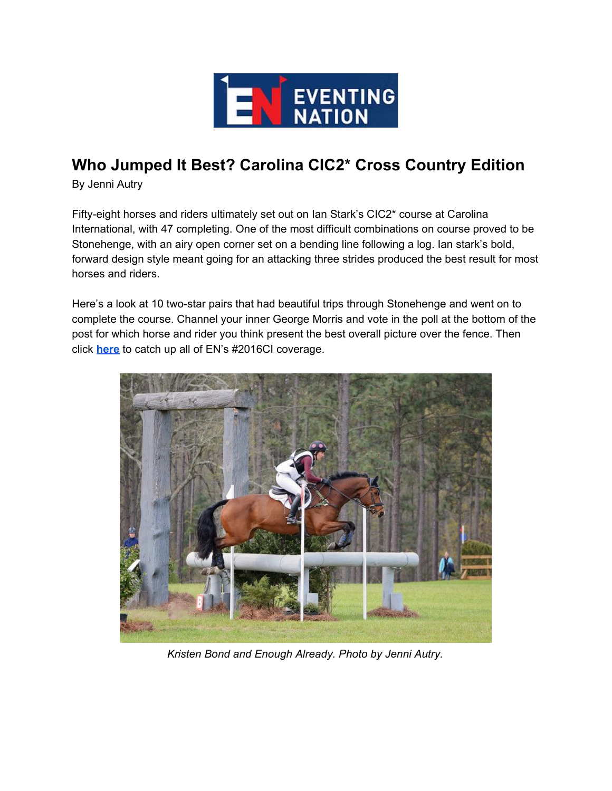

## **Who Jumped It Best? Carolina CIC2\* Cross Country Edition**

By Jenni Autry

Fifty-eight horses and riders ultimately set out on Ian Stark's CIC2\* course at Carolina International, with 47 completing. One of the most difficult combinations on course proved to be Stonehenge, with an airy open corner set on a bending line following a log. Ian stark's bold, forward design style meant going for an attacking three strides produced the best result for most horses and riders.

Here's a look at 10 two-star pairs that had beautiful trips through Stonehenge and went on to complete the course. Channel your inner George Morris and vote in the poll at the bottom of the post for which horse and rider you think present the best overall picture over the fence. Then click **[here](https://eventingnation.com/tag/carolina)** to catch up all of EN's #2016CI coverage.



*Kristen Bond and Enough Already. Photo by Jenni Autry.*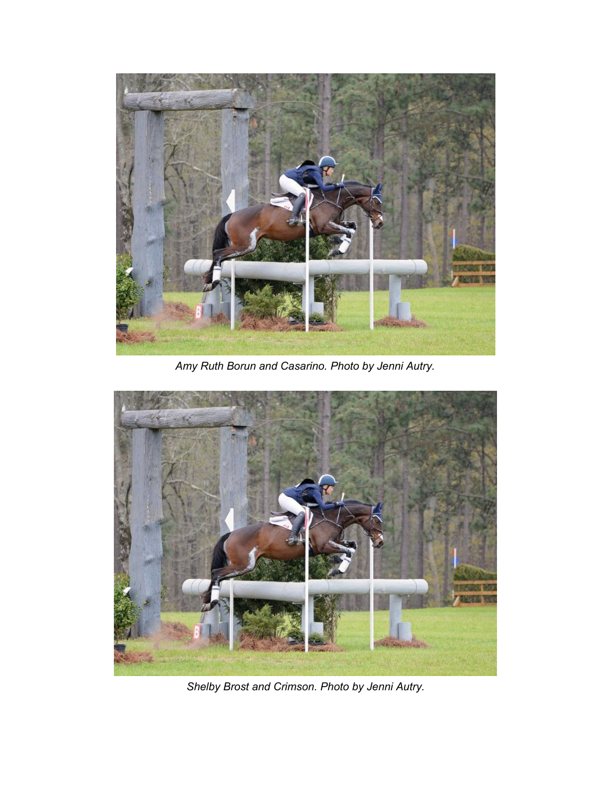

*Amy Ruth Borun and Casarino. Photo by Jenni Autry.*



*Shelby Brost and Crimson. Photo by Jenni Autry.*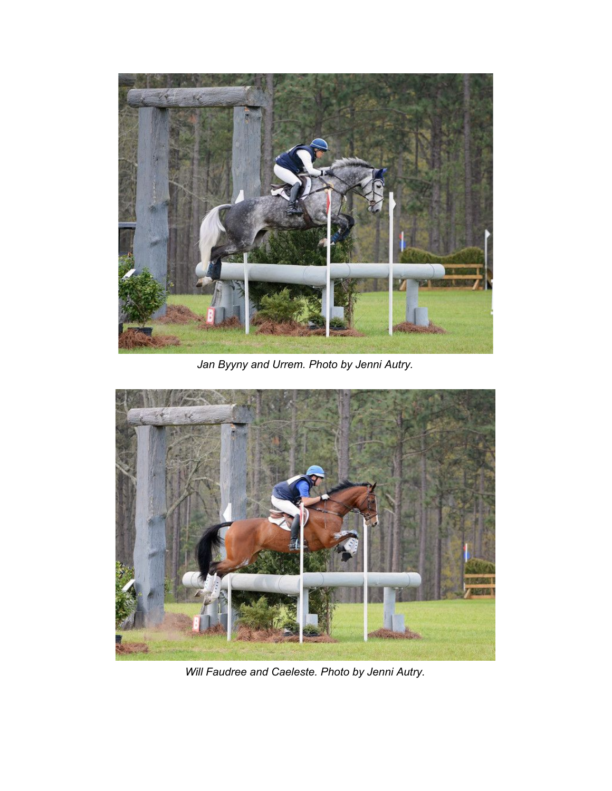

*Jan Byyny and Urrem. Photo by Jenni Autry.*



*Will Faudree and Caeleste. Photo by Jenni Autry.*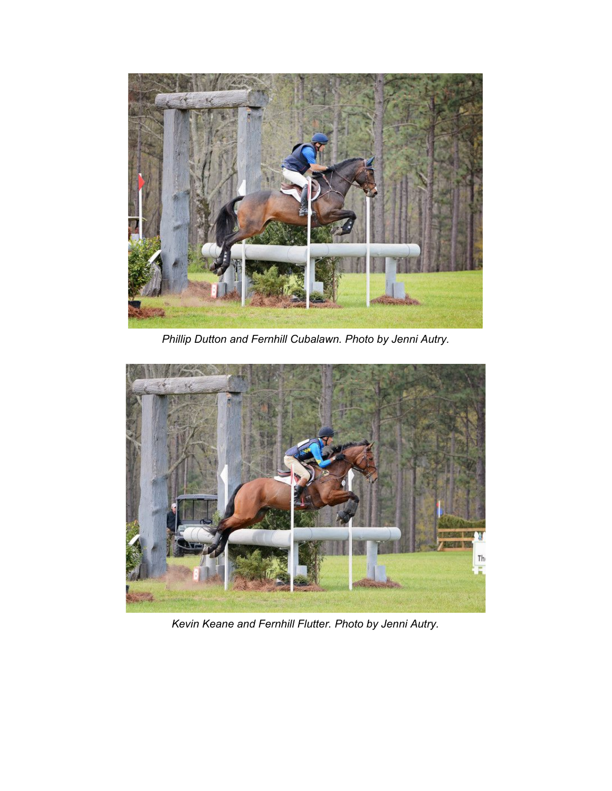

*Phillip Dutton and Fernhill Cubalawn. Photo by Jenni Autry.*



*Kevin Keane and Fernhill Flutter. Photo by Jenni Autry.*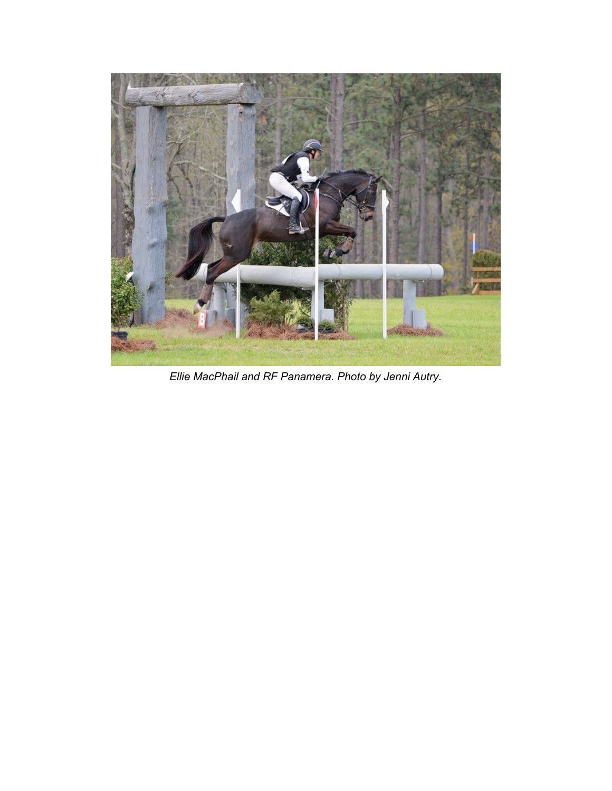

*Ellie MacPhail and RF Panamera. Photo by Jenni Autry.*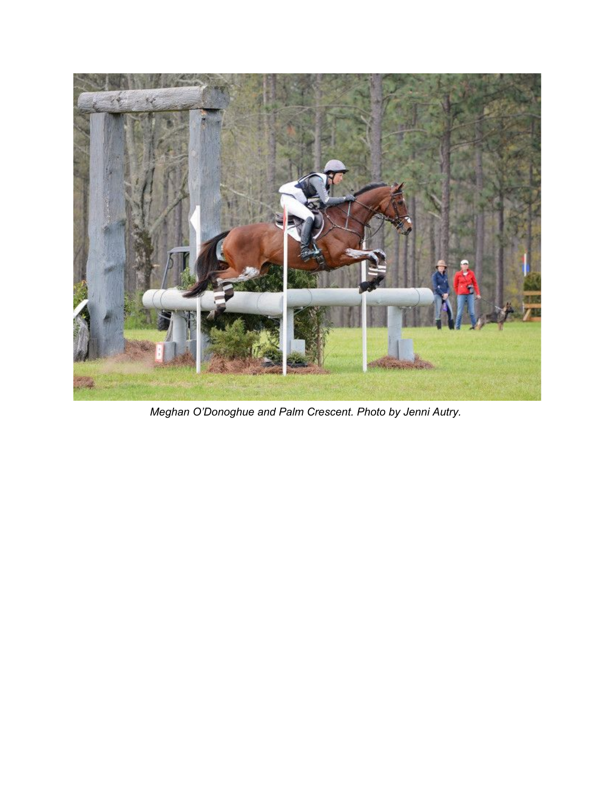

*Meghan O'Donoghue and Palm Crescent. Photo by Jenni Autry.*